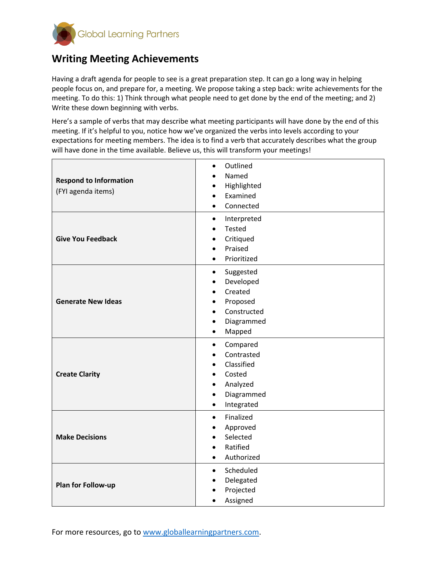

## **Writing Meeting Achievements**

Having a draft agenda for people to see is a great preparation step. It can go a long way in helping people focus on, and prepare for, a meeting. We propose taking a step back: write achievements for the meeting. To do this: 1) Think through what people need to get done by the end of the meeting; and 2) Write these down beginning with verbs.

Here's a sample of verbs that may describe what meeting participants will have done by the end of this meeting. If it's helpful to you, notice how we've organized the verbs into levels according to your expectations for meeting members. The idea is to find a verb that accurately describes what the group will have done in the time available. Believe us, this will transform your meetings!

| <b>Respond to Information</b><br>(FYI agenda items) | Outlined<br>$\bullet$<br>Named<br>Highlighted<br>Examined<br>Connected<br>$\bullet$                                                        |
|-----------------------------------------------------|--------------------------------------------------------------------------------------------------------------------------------------------|
| <b>Give You Feedback</b>                            | Interpreted<br>$\bullet$<br><b>Tested</b><br>Critiqued<br>Praised<br>Prioritized                                                           |
| <b>Generate New Ideas</b>                           | Suggested<br>$\bullet$<br>Developed<br>$\bullet$<br>Created<br>Proposed<br>Constructed<br>Diagrammed<br>Mapped<br>$\bullet$                |
| <b>Create Clarity</b>                               | Compared<br>$\bullet$<br>Contrasted<br>Classified<br>Costed<br>$\bullet$<br>Analyzed<br>Diagrammed<br>$\bullet$<br>Integrated<br>$\bullet$ |
| <b>Make Decisions</b>                               | Finalized<br>$\bullet$<br>Approved<br>Selected<br>Ratified<br>Authorized<br>$\bullet$                                                      |
| Plan for Follow-up                                  | Scheduled<br>$\bullet$<br>Delegated<br>Projected<br>Assigned                                                                               |